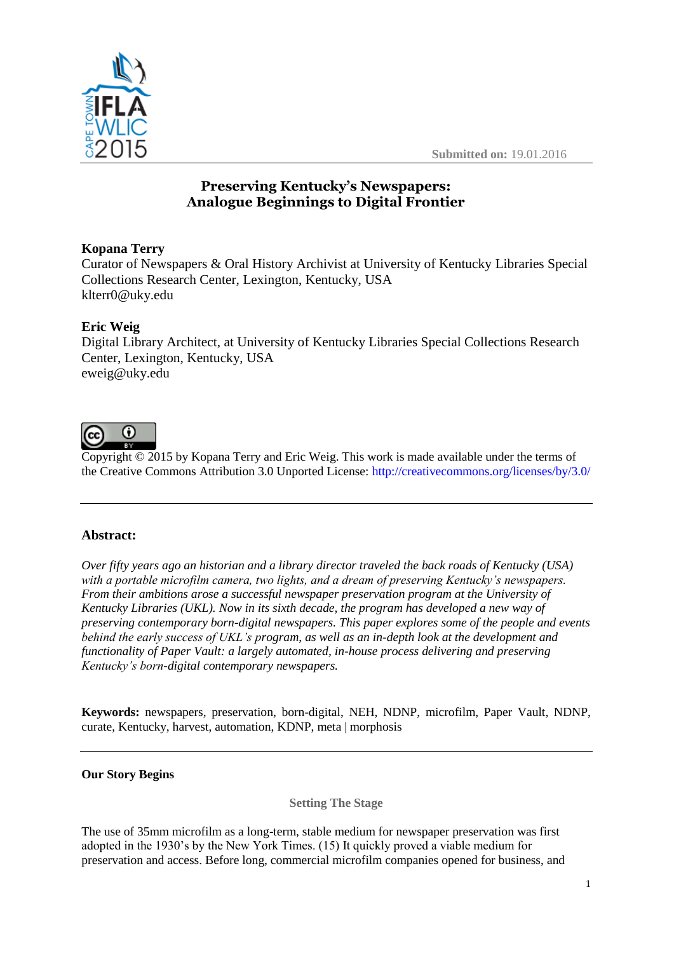



# **Preserving Kentucky's Newspapers: Analogue Beginnings to Digital Frontier**

# **Kopana Terry**

Curator of Newspapers & Oral History Archivist at University of Kentucky Libraries Special Collections Research Center, Lexington, Kentucky, USA klterr0@uky.edu

# **Eric Weig**

Digital Library Architect, at University of Kentucky Libraries Special Collections Research Center, Lexington, Kentucky, USA eweig@uky.edu



Copyright © 2015 by Kopana Terry and Eric Weig. This work is made available under the terms of the Creative Commons Attribution 3.0 Unported License: <http://creativecommons.org/licenses/by/3.0/>

# **Abstract:**

*Over fifty years ago an historian and a library director traveled the back roads of Kentucky (USA) with a portable microfilm camera, two lights, and a dream of preserving Kentucky's newspapers. From their ambitions arose a successful newspaper preservation program at the University of Kentucky Libraries (UKL). Now in its sixth decade, the program has developed a new way of preserving contemporary born-digital newspapers. This paper explores some of the people and events behind the early success of UKL's program, as well as an in-depth look at the development and functionality of Paper Vault: a largely automated, in-house process delivering and preserving Kentucky's born-digital contemporary newspapers.* 

**Keywords:** newspapers, preservation, born-digital, NEH, NDNP, microfilm, Paper Vault, NDNP, curate, Kentucky, harvest, automation, KDNP, meta | morphosis

# **Our Story Begins**

**Setting The Stage**

The use of 35mm microfilm as a long-term, stable medium for newspaper preservation was first adopted in the 1930's by the New York Times. (15) It quickly proved a viable medium for preservation and access. Before long, commercial microfilm companies opened for business, and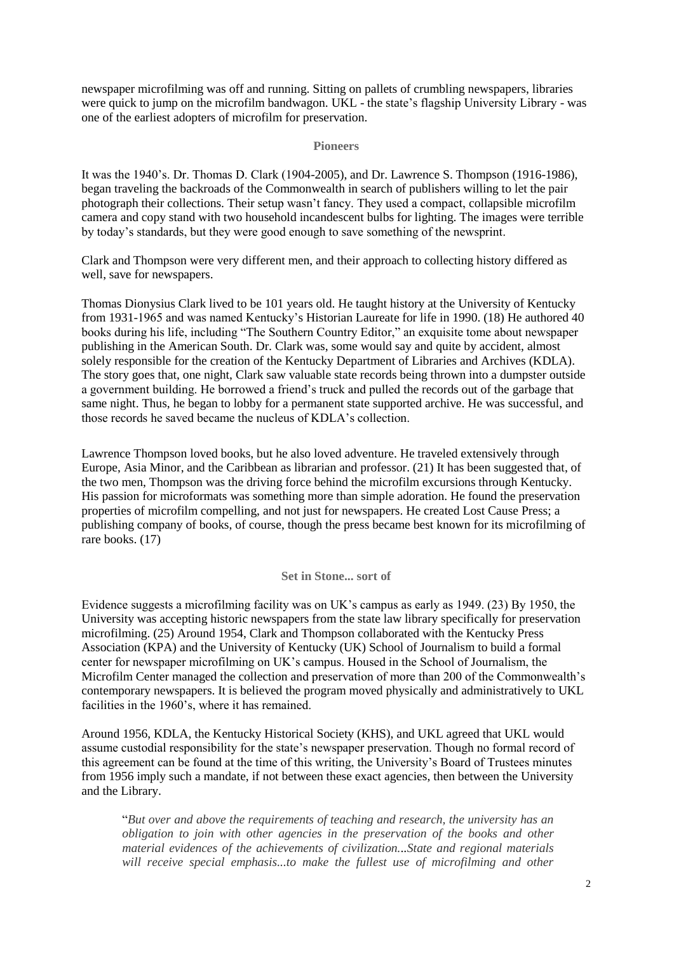newspaper microfilming was off and running. Sitting on pallets of crumbling newspapers, libraries were quick to jump on the microfilm bandwagon. UKL - the state's flagship University Library - was one of the earliest adopters of microfilm for preservation.

### **Pioneers**

It was the 1940's. Dr. Thomas D. Clark (1904-2005), and Dr. Lawrence S. Thompson (1916-1986), began traveling the backroads of the Commonwealth in search of publishers willing to let the pair photograph their collections. Their setup wasn't fancy. They used a compact, collapsible microfilm camera and copy stand with two household incandescent bulbs for lighting. The images were terrible by today's standards, but they were good enough to save something of the newsprint.

Clark and Thompson were very different men, and their approach to collecting history differed as well, save for newspapers.

Thomas Dionysius Clark lived to be 101 years old. He taught history at the University of Kentucky from 1931-1965 and was named Kentucky's Historian Laureate for life in 1990. (18) He authored 40 books during his life, including "The Southern Country Editor," an exquisite tome about newspaper publishing in the American South. Dr. Clark was, some would say and quite by accident, almost solely responsible for the creation of the Kentucky Department of Libraries and Archives (KDLA). The story goes that, one night, Clark saw valuable state records being thrown into a dumpster outside a government building. He borrowed a friend's truck and pulled the records out of the garbage that same night. Thus, he began to lobby for a permanent state supported archive. He was successful, and those records he saved became the nucleus of KDLA's collection.

Lawrence Thompson loved books, but he also loved adventure. He traveled extensively through Europe, Asia Minor, and the Caribbean as librarian and professor. (21) It has been suggested that, of the two men, Thompson was the driving force behind the microfilm excursions through Kentucky. His passion for microformats was something more than simple adoration. He found the preservation properties of microfilm compelling, and not just for newspapers. He created Lost Cause Press; a publishing company of books, of course, though the press became best known for its microfilming of rare books. (17)

### **Set in Stone... sort of**

Evidence suggests a microfilming facility was on UK's campus as early as 1949. (23) By 1950, the University was accepting historic newspapers from the state law library specifically for preservation microfilming. (25) Around 1954, Clark and Thompson collaborated with the Kentucky Press Association (KPA) and the University of Kentucky (UK) School of Journalism to build a formal center for newspaper microfilming on UK's campus. Housed in the School of Journalism, the Microfilm Center managed the collection and preservation of more than 200 of the Commonwealth's contemporary newspapers. It is believed the program moved physically and administratively to UKL facilities in the 1960's, where it has remained.

Around 1956, KDLA, the Kentucky Historical Society (KHS), and UKL agreed that UKL would assume custodial responsibility for the state's newspaper preservation. Though no formal record of this agreement can be found at the time of this writing, the University's Board of Trustees minutes from 1956 imply such a mandate, if not between these exact agencies, then between the University and the Library.

"*But over and above the requirements of teaching and research, the university has an obligation to join with other agencies in the preservation of the books and other material evidences of the achievements of civilization...State and regional materials*  will receive special emphasis...to make the fullest use of microfilming and other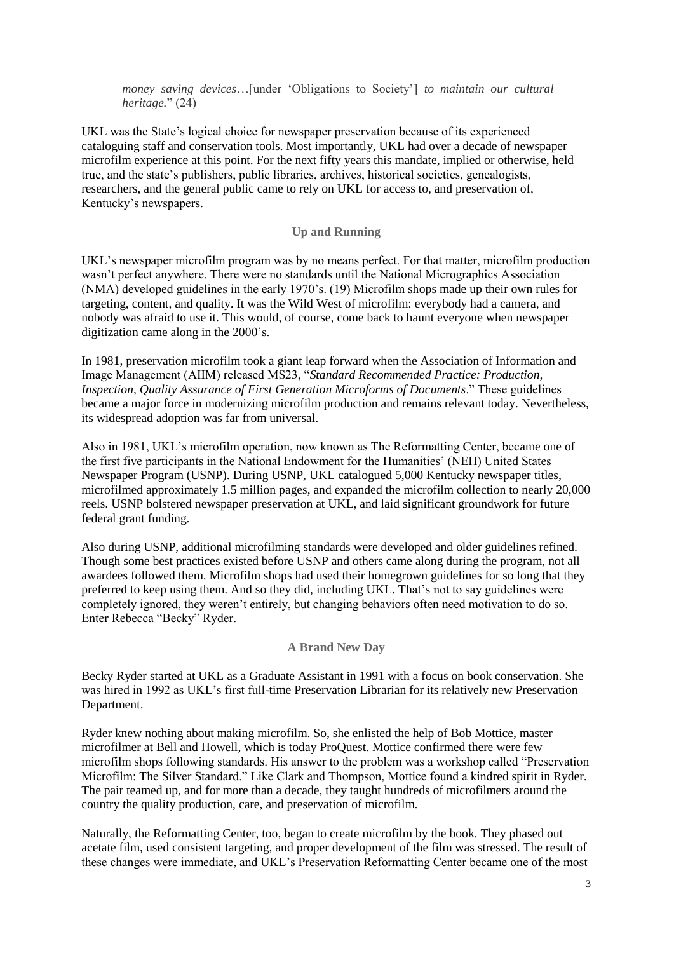*money saving devices*…[under 'Obligations to Society'] *to maintain our cultural heritage.*" (24)

UKL was the State's logical choice for newspaper preservation because of its experienced cataloguing staff and conservation tools. Most importantly, UKL had over a decade of newspaper microfilm experience at this point. For the next fifty years this mandate, implied or otherwise, held true, and the state's publishers, public libraries, archives, historical societies, genealogists, researchers, and the general public came to rely on UKL for access to, and preservation of, Kentucky's newspapers.

## **Up and Running**

UKL's newspaper microfilm program was by no means perfect. For that matter, microfilm production wasn't perfect anywhere. There were no standards until the National Micrographics Association (NMA) developed guidelines in the early 1970's. (19) Microfilm shops made up their own rules for targeting, content, and quality. It was the Wild West of microfilm: everybody had a camera, and nobody was afraid to use it. This would, of course, come back to haunt everyone when newspaper digitization came along in the 2000's.

In 1981, preservation microfilm took a giant leap forward when the Association of Information and Image Management (AIIM) released MS23, "*Standard Recommended Practice: Production, Inspection, Quality Assurance of First Generation Microforms of Documents*." These guidelines became a major force in modernizing microfilm production and remains relevant today. Nevertheless, its widespread adoption was far from universal.

Also in 1981, UKL's microfilm operation, now known as The Reformatting Center, became one of the first five participants in the National Endowment for the Humanities' (NEH) United States Newspaper Program (USNP). During USNP, UKL catalogued 5,000 Kentucky newspaper titles, microfilmed approximately 1.5 million pages, and expanded the microfilm collection to nearly 20,000 reels. USNP bolstered newspaper preservation at UKL, and laid significant groundwork for future federal grant funding.

Also during USNP, additional microfilming standards were developed and older guidelines refined. Though some best practices existed before USNP and others came along during the program, not all awardees followed them. Microfilm shops had used their homegrown guidelines for so long that they preferred to keep using them. And so they did, including UKL. That's not to say guidelines were completely ignored, they weren't entirely, but changing behaviors often need motivation to do so. Enter Rebecca "Becky" Ryder.

### **A Brand New Day**

Becky Ryder started at UKL as a Graduate Assistant in 1991 with a focus on book conservation. She was hired in 1992 as UKL's first full-time Preservation Librarian for its relatively new Preservation Department.

Ryder knew nothing about making microfilm. So, she enlisted the help of Bob Mottice, master microfilmer at Bell and Howell, which is today ProQuest. Mottice confirmed there were few microfilm shops following standards. His answer to the problem was a workshop called "Preservation Microfilm: The Silver Standard." Like Clark and Thompson, Mottice found a kindred spirit in Ryder. The pair teamed up, and for more than a decade, they taught hundreds of microfilmers around the country the quality production, care, and preservation of microfilm.

Naturally, the Reformatting Center, too, began to create microfilm by the book. They phased out acetate film, used consistent targeting, and proper development of the film was stressed. The result of these changes were immediate, and UKL's Preservation Reformatting Center became one of the most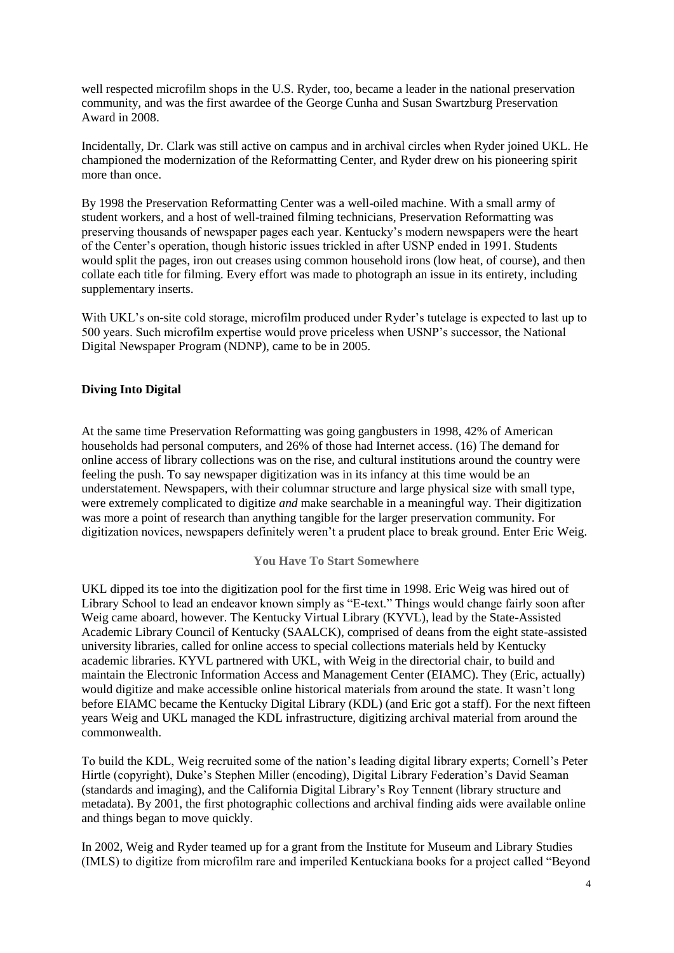well respected microfilm shops in the U.S. Ryder, too, became a leader in the national preservation community, and was the first awardee of the George Cunha and Susan Swartzburg Preservation Award in 2008.

Incidentally, Dr. Clark was still active on campus and in archival circles when Ryder joined UKL. He championed the modernization of the Reformatting Center, and Ryder drew on his pioneering spirit more than once.

By 1998 the Preservation Reformatting Center was a well-oiled machine. With a small army of student workers, and a host of well-trained filming technicians, Preservation Reformatting was preserving thousands of newspaper pages each year. Kentucky's modern newspapers were the heart of the Center's operation, though historic issues trickled in after USNP ended in 1991. Students would split the pages, iron out creases using common household irons (low heat, of course), and then collate each title for filming. Every effort was made to photograph an issue in its entirety, including supplementary inserts.

With UKL's on-site cold storage, microfilm produced under Ryder's tutelage is expected to last up to 500 years. Such microfilm expertise would prove priceless when USNP's successor, the National Digital Newspaper Program (NDNP), came to be in 2005.

# **Diving Into Digital**

At the same time Preservation Reformatting was going gangbusters in 1998, 42% of American households had personal computers, and 26% of those had Internet access. (16) The demand for online access of library collections was on the rise, and cultural institutions around the country were feeling the push. To say newspaper digitization was in its infancy at this time would be an understatement. Newspapers, with their columnar structure and large physical size with small type, were extremely complicated to digitize *and* make searchable in a meaningful way. Their digitization was more a point of research than anything tangible for the larger preservation community. For digitization novices, newspapers definitely weren't a prudent place to break ground. Enter Eric Weig.

### **You Have To Start Somewhere**

UKL dipped its toe into the digitization pool for the first time in 1998. Eric Weig was hired out of Library School to lead an endeavor known simply as "E-text." Things would change fairly soon after Weig came aboard, however. The Kentucky Virtual Library (KYVL), lead by the State-Assisted Academic Library Council of Kentucky (SAALCK), comprised of deans from the eight state-assisted university libraries, called for online access to special collections materials held by Kentucky academic libraries. KYVL partnered with UKL, with Weig in the directorial chair, to build and maintain the Electronic Information Access and Management Center (EIAMC). They (Eric, actually) would digitize and make accessible online historical materials from around the state. It wasn't long before EIAMC became the Kentucky Digital Library (KDL) (and Eric got a staff). For the next fifteen years Weig and UKL managed the KDL infrastructure, digitizing archival material from around the commonwealth.

To build the KDL, Weig recruited some of the nation's leading digital library experts; Cornell's Peter Hirtle (copyright), Duke's Stephen Miller (encoding), Digital Library Federation's David Seaman (standards and imaging), and the California Digital Library's Roy Tennent (library structure and metadata). By 2001, the first photographic collections and archival finding aids were available online and things began to move quickly.

In 2002, Weig and Ryder teamed up for a grant from the Institute for Museum and Library Studies (IMLS) to digitize from microfilm rare and imperiled Kentuckiana books for a project called "Beyond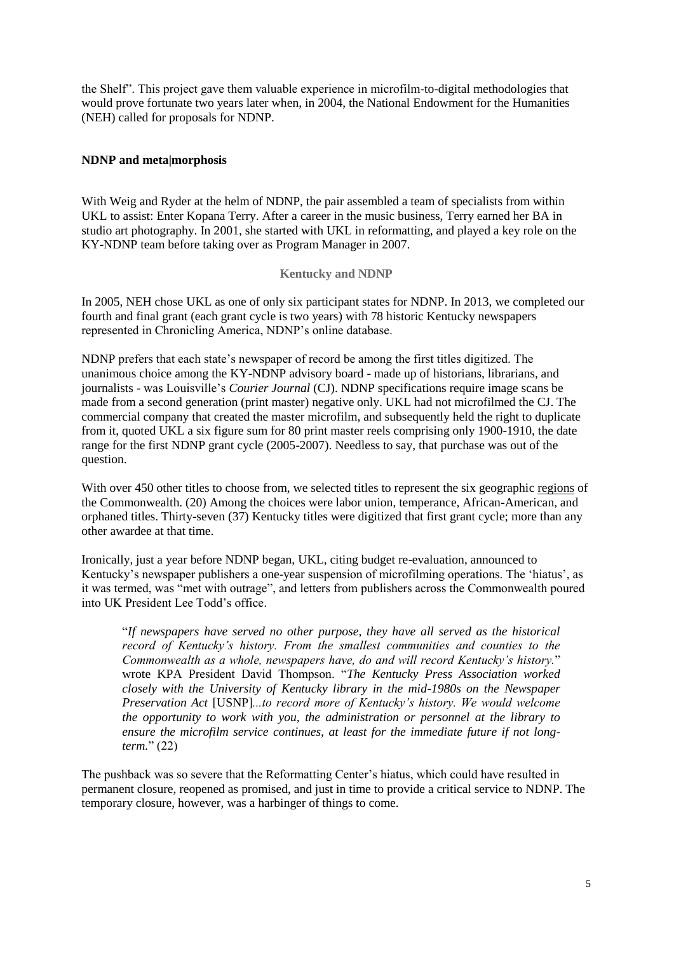the Shelf". This project gave them valuable experience in microfilm-to-digital methodologies that would prove fortunate two years later when, in 2004, the National Endowment for the Humanities (NEH) called for proposals for NDNP.

## **NDNP and meta|morphosis**

With Weig and Ryder at the helm of NDNP, the pair assembled a team of specialists from within UKL to assist: Enter Kopana Terry. After a career in the music business, Terry earned her BA in studio art photography. In 2001, she started with UKL in reformatting, and played a key role on the KY-NDNP team before taking over as Program Manager in 2007.

## **Kentucky and NDNP**

In 2005, NEH chose UKL as one of only six participant states for NDNP. In 2013, we completed our fourth and final grant (each grant cycle is two years) with 78 historic Kentucky newspapers represented in Chronicling America, NDNP's online database.

NDNP prefers that each state's newspaper of record be among the first titles digitized. The unanimous choice among the KY-NDNP advisory board - made up of historians, librarians, and journalists - was Louisville's *Courier Journal* (CJ). NDNP specifications require image scans be made from a second generation (print master) negative only. UKL had not microfilmed the CJ. The commercial company that created the master microfilm, and subsequently held the right to duplicate from it, quoted UKL a six figure sum for 80 print master reels comprising only 1900-1910, the date range for the first NDNP grant cycle (2005-2007). Needless to say, that purchase was out of the question.

With over 450 other titles to choose from, we selected titles to represent the six geographic [regions](http://www.uky.edu/Libraries/NDNP/regions.html) of the Commonwealth. (20) Among the choices were labor union, temperance, African-American, and orphaned titles. Thirty-seven (37) Kentucky titles were digitized that first grant cycle; more than any other awardee at that time.

Ironically, just a year before NDNP began, UKL, citing budget re-evaluation, announced to Kentucky's newspaper publishers a one-year suspension of microfilming operations. The 'hiatus', as it was termed, was "met with outrage", and letters from publishers across the Commonwealth poured into UK President Lee Todd's office.

"*If newspapers have served no other purpose, they have all served as the historical record of Kentucky's history. From the smallest communities and counties to the Commonwealth as a whole, newspapers have, do and will record Kentucky's history.*" wrote KPA President David Thompson. "*The Kentucky Press Association worked closely with the University of Kentucky library in the mid-1980s on the Newspaper Preservation Act* [USNP]*...to record more of Kentucky's history. We would welcome the opportunity to work with you, the administration or personnel at the library to ensure the microfilm service continues, at least for the immediate future if not longterm.*" (22)

The pushback was so severe that the Reformatting Center's hiatus, which could have resulted in permanent closure, reopened as promised, and just in time to provide a critical service to NDNP. The temporary closure, however, was a harbinger of things to come.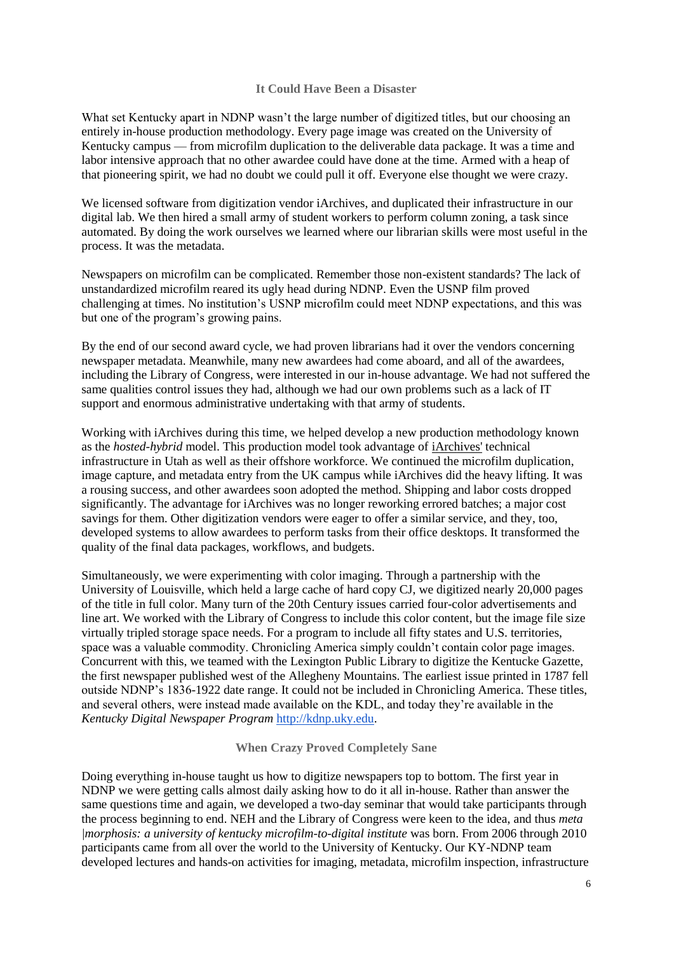## **It Could Have Been a Disaster**

What set Kentucky apart in NDNP wasn't the large number of digitized titles, but our choosing an entirely in-house production methodology. Every page image was created on the University of Kentucky campus — from microfilm duplication to the deliverable data package. It was a time and labor intensive approach that no other awardee could have done at the time. Armed with a heap of that pioneering spirit, we had no doubt we could pull it off. Everyone else thought we were crazy.

We licensed software from digitization vendor iArchives, and duplicated their infrastructure in our digital lab. We then hired a small army of student workers to perform column zoning, a task since automated. By doing the work ourselves we learned where our librarian skills were most useful in the process. It was the metadata.

Newspapers on microfilm can be complicated. Remember those non-existent standards? The lack of unstandardized microfilm reared its ugly head during NDNP. Even the USNP film proved challenging at times. No institution's USNP microfilm could meet NDNP expectations, and this was but one of the program's growing pains.

By the end of our second award cycle, we had proven librarians had it over the vendors concerning newspaper metadata. Meanwhile, many new awardees had come aboard, and all of the awardees, including the Library of Congress, were interested in our in-house advantage. We had not suffered the same qualities control issues they had, although we had our own problems such as a lack of IT support and enormous administrative undertaking with that army of students.

Working with iArchives during this time, we helped develop a new production methodology known as the *hosted-hybrid* model. This production model took advantage of [iArchives'](http://www.iarchives.com/) technical infrastructure in Utah as well as their offshore workforce. We continued the microfilm duplication, image capture, and metadata entry from the UK campus while iArchives did the heavy lifting. It was a rousing success, and other awardees soon adopted the method. Shipping and labor costs dropped significantly. The advantage for iArchives was no longer reworking errored batches; a major cost savings for them. Other digitization vendors were eager to offer a similar service, and they, too, developed systems to allow awardees to perform tasks from their office desktops. It transformed the quality of the final data packages, workflows, and budgets.

Simultaneously, we were experimenting with color imaging. Through a partnership with the University of Louisville, which held a large cache of hard copy CJ, we digitized nearly 20,000 pages of the title in full color. Many turn of the 20th Century issues carried four-color advertisements and line art. We worked with the Library of Congress to include this color content, but the image file size virtually tripled storage space needs. For a program to include all fifty states and U.S. territories, space was a valuable commodity. Chronicling America simply couldn't contain color page images. Concurrent with this, we teamed with the Lexington Public Library to digitize the Kentucke Gazette, the first newspaper published west of the Allegheny Mountains. The earliest issue printed in 1787 fell outside NDNP's 1836-1922 date range. It could not be included in Chronicling America. These titles, and several others, were instead made available on the KDL, and today they're available in the *Kentucky Digital Newspaper Program* [http://kdnp.uky.edu.](http://kdnp.uky.edu/)

## **When Crazy Proved Completely Sane**

Doing everything in-house taught us how to digitize newspapers top to bottom. The first year in NDNP we were getting calls almost daily asking how to do it all in-house. Rather than answer the same questions time and again, we developed a two-day seminar that would take participants through the process beginning to end. NEH and the Library of Congress were keen to the idea, and thus *meta |morphosis: a university of kentucky microfilm-to-digital institute* was born. From 2006 through 2010 participants came from all over the world to the University of Kentucky. Our KY-NDNP team developed lectures and hands-on activities for imaging, metadata, microfilm inspection, infrastructure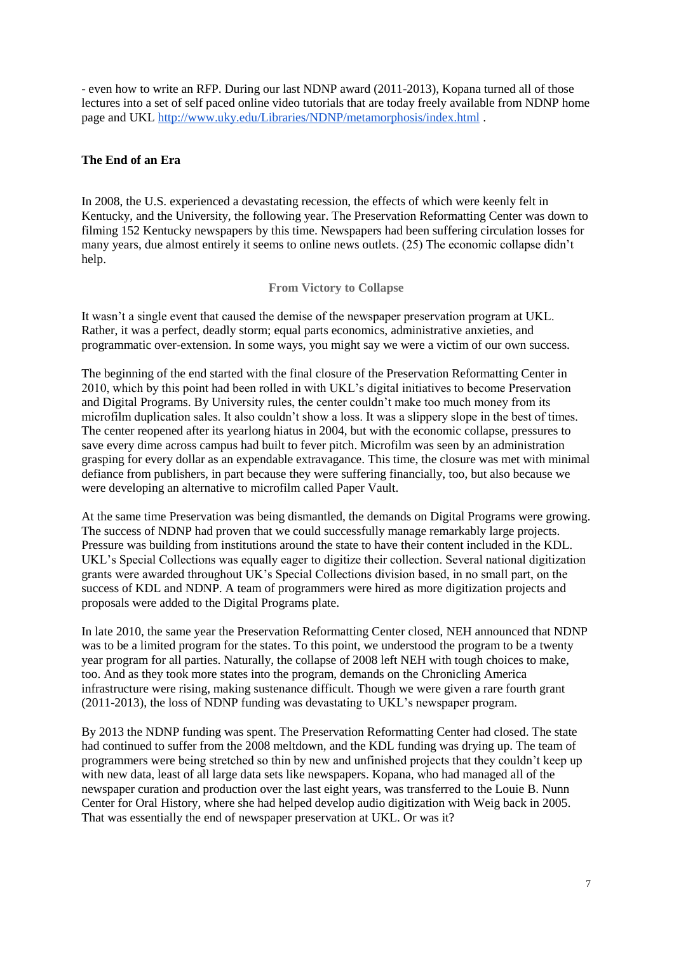- even how to write an RFP. During our last NDNP award (2011-2013), Kopana turned all of those lectures into a set of self paced online video tutorials that are today freely available from NDNP home page and UKL <http://www.uky.edu/Libraries/NDNP/metamorphosis/index.html> .

# **The End of an Era**

In 2008, the U.S. experienced a devastating recession, the effects of which were keenly felt in Kentucky, and the University, the following year. The Preservation Reformatting Center was down to filming 152 Kentucky newspapers by this time. Newspapers had been suffering circulation losses for many years, due almost entirely it seems to online news outlets. (25) The economic collapse didn't help.

**From Victory to Collapse**

It wasn't a single event that caused the demise of the newspaper preservation program at UKL. Rather, it was a perfect, deadly storm; equal parts economics, administrative anxieties, and programmatic over-extension. In some ways, you might say we were a victim of our own success.

The beginning of the end started with the final closure of the Preservation Reformatting Center in 2010, which by this point had been rolled in with UKL's digital initiatives to become Preservation and Digital Programs. By University rules, the center couldn't make too much money from its microfilm duplication sales. It also couldn't show a loss. It was a slippery slope in the best of times. The center reopened after its yearlong hiatus in 2004, but with the economic collapse, pressures to save every dime across campus had built to fever pitch. Microfilm was seen by an administration grasping for every dollar as an expendable extravagance. This time, the closure was met with minimal defiance from publishers, in part because they were suffering financially, too, but also because we were developing an alternative to microfilm called Paper Vault.

At the same time Preservation was being dismantled, the demands on Digital Programs were growing. The success of NDNP had proven that we could successfully manage remarkably large projects. Pressure was building from institutions around the state to have their content included in the KDL. UKL's Special Collections was equally eager to digitize their collection. Several national digitization grants were awarded throughout UK's Special Collections division based, in no small part, on the success of KDL and NDNP. A team of programmers were hired as more digitization projects and proposals were added to the Digital Programs plate.

In late 2010, the same year the Preservation Reformatting Center closed, NEH announced that NDNP was to be a limited program for the states. To this point, we understood the program to be a twenty year program for all parties. Naturally, the collapse of 2008 left NEH with tough choices to make, too. And as they took more states into the program, demands on the Chronicling America infrastructure were rising, making sustenance difficult. Though we were given a rare fourth grant (2011-2013), the loss of NDNP funding was devastating to UKL's newspaper program.

By 2013 the NDNP funding was spent. The Preservation Reformatting Center had closed. The state had continued to suffer from the 2008 meltdown, and the KDL funding was drying up. The team of programmers were being stretched so thin by new and unfinished projects that they couldn't keep up with new data, least of all large data sets like newspapers. Kopana, who had managed all of the newspaper curation and production over the last eight years, was transferred to the Louie B. Nunn Center for Oral History, where she had helped develop audio digitization with Weig back in 2005. That was essentially the end of newspaper preservation at UKL. Or was it?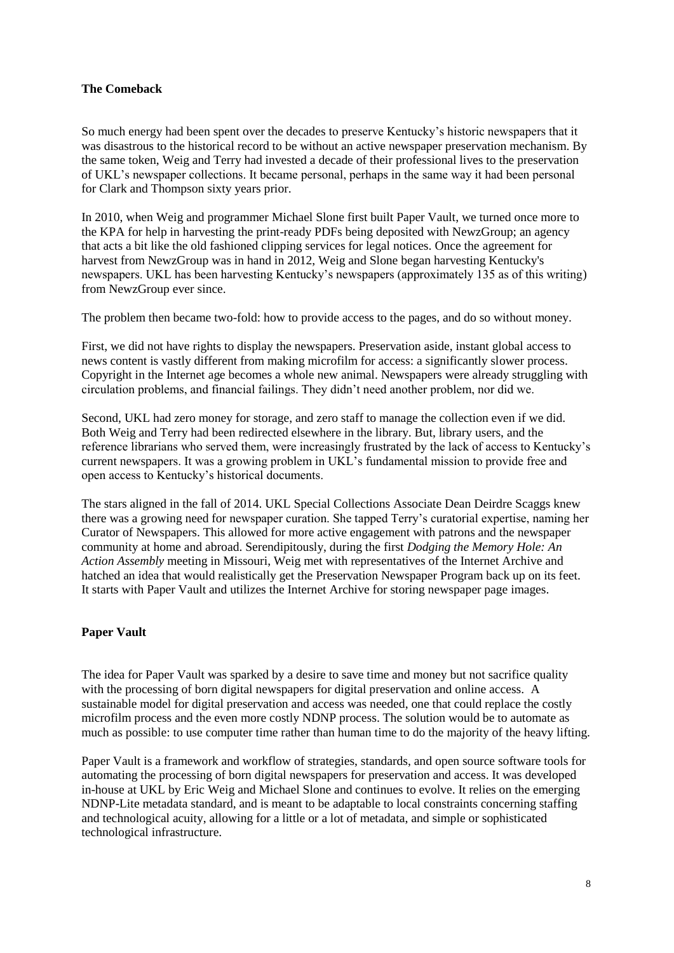# **The Comeback**

So much energy had been spent over the decades to preserve Kentucky's historic newspapers that it was disastrous to the historical record to be without an active newspaper preservation mechanism. By the same token, Weig and Terry had invested a decade of their professional lives to the preservation of UKL's newspaper collections. It became personal, perhaps in the same way it had been personal for Clark and Thompson sixty years prior.

In 2010, when Weig and programmer Michael Slone first built Paper Vault, we turned once more to the KPA for help in harvesting the print-ready PDFs being deposited with NewzGroup; an agency that acts a bit like the old fashioned clipping services for legal notices. Once the agreement for harvest from NewzGroup was in hand in 2012, Weig and Slone began harvesting Kentucky's newspapers. UKL has been harvesting Kentucky's newspapers (approximately 135 as of this writing) from NewzGroup ever since.

The problem then became two-fold: how to provide access to the pages, and do so without money.

First, we did not have rights to display the newspapers. Preservation aside, instant global access to news content is vastly different from making microfilm for access: a significantly slower process. Copyright in the Internet age becomes a whole new animal. Newspapers were already struggling with circulation problems, and financial failings. They didn't need another problem, nor did we.

Second, UKL had zero money for storage, and zero staff to manage the collection even if we did. Both Weig and Terry had been redirected elsewhere in the library. But, library users, and the reference librarians who served them, were increasingly frustrated by the lack of access to Kentucky's current newspapers. It was a growing problem in UKL's fundamental mission to provide free and open access to Kentucky's historical documents.

The stars aligned in the fall of 2014. UKL Special Collections Associate Dean Deirdre Scaggs knew there was a growing need for newspaper curation. She tapped Terry's curatorial expertise, naming her Curator of Newspapers. This allowed for more active engagement with patrons and the newspaper community at home and abroad. Serendipitously, during the first *Dodging the Memory Hole: An Action Assembly* meeting in Missouri, Weig met with representatives of the Internet Archive and hatched an idea that would realistically get the Preservation Newspaper Program back up on its feet. It starts with Paper Vault and utilizes the Internet Archive for storing newspaper page images.

## **Paper Vault**

The idea for Paper Vault was sparked by a desire to save time and money but not sacrifice quality with the processing of born digital newspapers for digital preservation and online access. A sustainable model for digital preservation and access was needed, one that could replace the costly microfilm process and the even more costly NDNP process. The solution would be to automate as much as possible: to use computer time rather than human time to do the majority of the heavy lifting.

Paper Vault is a framework and workflow of strategies, standards, and open source software tools for automating the processing of born digital newspapers for preservation and access. It was developed in-house at UKL by Eric Weig and Michael Slone and continues to evolve. It relies on the emerging NDNP-Lite metadata standard, and is meant to be adaptable to local constraints concerning staffing and technological acuity, allowing for a little or a lot of metadata, and simple or sophisticated technological infrastructure.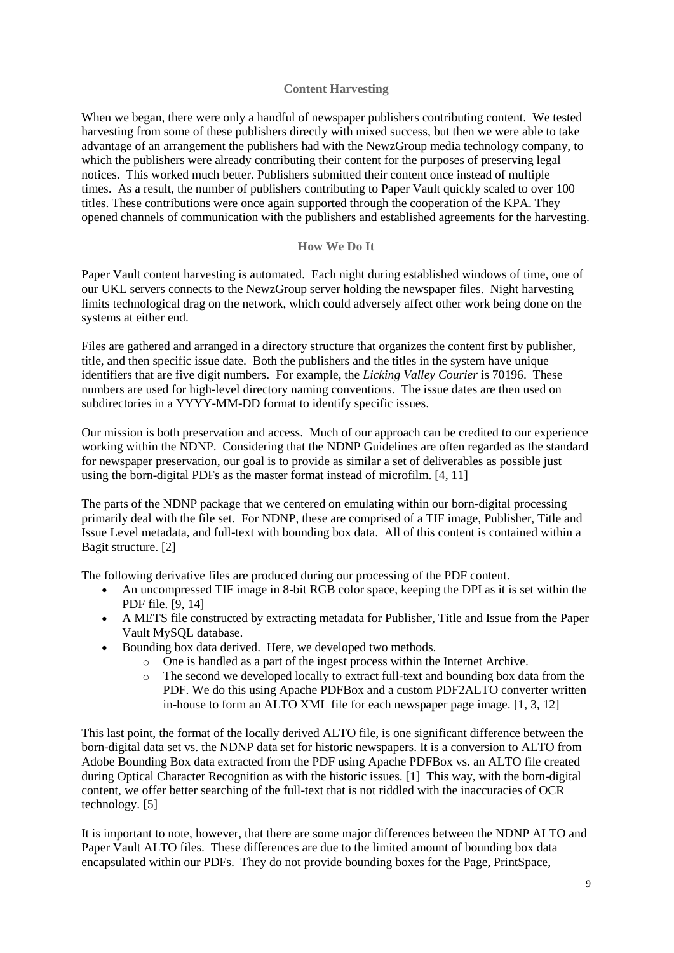## **Content Harvesting**

When we began, there were only a handful of newspaper publishers contributing content. We tested harvesting from some of these publishers directly with mixed success, but then we were able to take advantage of an arrangement the publishers had with the NewzGroup media technology company, to which the publishers were already contributing their content for the purposes of preserving legal notices. This worked much better. Publishers submitted their content once instead of multiple times. As a result, the number of publishers contributing to Paper Vault quickly scaled to over 100 titles. These contributions were once again supported through the cooperation of the KPA. They opened channels of communication with the publishers and established agreements for the harvesting.

# **How We Do It**

Paper Vault content harvesting is automated. Each night during established windows of time, one of our UKL servers connects to the NewzGroup server holding the newspaper files. Night harvesting limits technological drag on the network, which could adversely affect other work being done on the systems at either end.

Files are gathered and arranged in a directory structure that organizes the content first by publisher, title, and then specific issue date. Both the publishers and the titles in the system have unique identifiers that are five digit numbers. For example, the *Licking Valley Courier* is 70196. These numbers are used for high-level directory naming conventions. The issue dates are then used on subdirectories in a YYYY-MM-DD format to identify specific issues.

Our mission is both preservation and access. Much of our approach can be credited to our experience working within the NDNP. Considering that the NDNP Guidelines are often regarded as the standard for newspaper preservation, our goal is to provide as similar a set of deliverables as possible just using the born-digital PDFs as the master format instead of microfilm. [4, 11]

The parts of the NDNP package that we centered on emulating within our born-digital processing primarily deal with the file set. For NDNP, these are comprised of a TIF image, Publisher, Title and Issue Level metadata, and full-text with bounding box data. All of this content is contained within a Bagit structure. [2]

The following derivative files are produced during our processing of the PDF content.

- An uncompressed TIF image in 8-bit RGB color space, keeping the DPI as it is set within the PDF file. [9, 14]
- A METS file constructed by extracting metadata for Publisher, Title and Issue from the Paper Vault MySQL database.
- Bounding box data derived. Here, we developed two methods.
	- o One is handled as a part of the ingest process within the Internet Archive.
	- o The second we developed locally to extract full-text and bounding box data from the PDF. We do this using Apache PDFBox and a custom PDF2ALTO converter written in-house to form an ALTO XML file for each newspaper page image. [1, 3, 12]

This last point, the format of the locally derived ALTO file, is one significant difference between the born-digital data set vs. the NDNP data set for historic newspapers. It is a conversion to ALTO from Adobe Bounding Box data extracted from the PDF using Apache PDFBox vs. an ALTO file created during Optical Character Recognition as with the historic issues. [1] This way, with the born-digital content, we offer better searching of the full-text that is not riddled with the inaccuracies of OCR technology. [5]

It is important to note, however, that there are some major differences between the NDNP ALTO and Paper Vault ALTO files. These differences are due to the limited amount of bounding box data encapsulated within our PDFs. They do not provide bounding boxes for the Page, PrintSpace,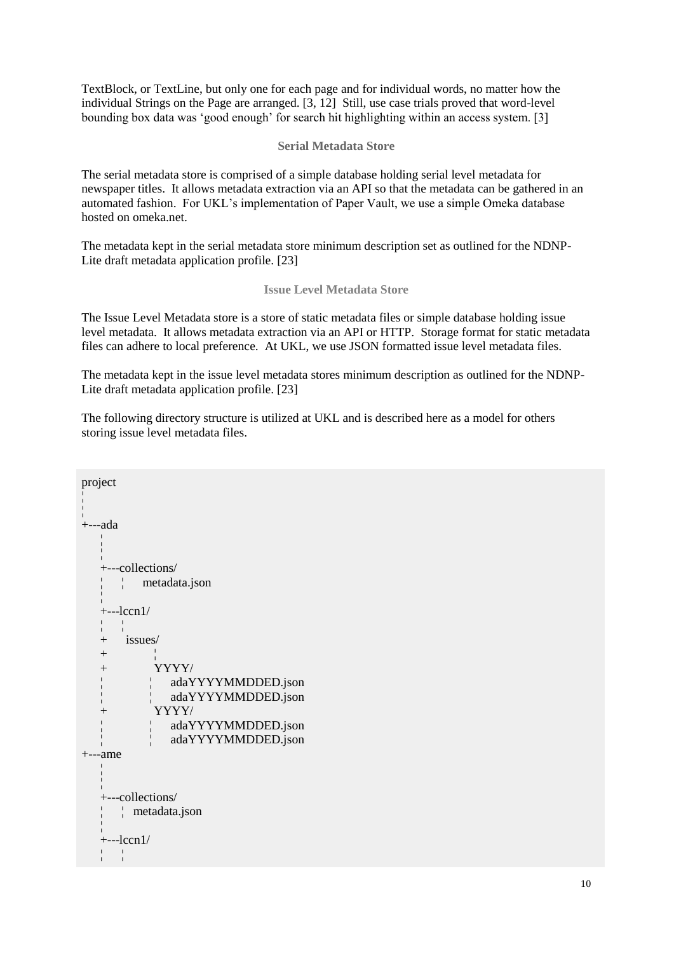TextBlock, or TextLine, but only one for each page and for individual words, no matter how the individual Strings on the Page are arranged. [3, 12] Still, use case trials proved that word-level bounding box data was 'good enough' for search hit highlighting within an access system. [3]

## **Serial Metadata Store**

The serial metadata store is comprised of a simple database holding serial level metadata for newspaper titles. It allows metadata extraction via an API so that the metadata can be gathered in an automated fashion. For UKL's implementation of Paper Vault, we use a simple Omeka database hosted on omeka.net.

The metadata kept in the serial metadata store minimum description set as outlined for the NDNP-Lite draft metadata application profile. [23]

### **Issue Level Metadata Store**

The Issue Level Metadata store is a store of static metadata files or simple database holding issue level metadata. It allows metadata extraction via an API or HTTP. Storage format for static metadata files can adhere to local preference. At UKL, we use JSON formatted issue level metadata files.

The metadata kept in the issue level metadata stores minimum description as outlined for the NDNP-Lite draft metadata application profile. [23]

The following directory structure is utilized at UKL and is described here as a model for others storing issue level metadata files.

```
project
¦ 
¦
+---ada
  ¦ 
  ¦
  +---collections/
  ¦ ¦ metadata.json 
  ¦
  +--lccn1/¦ ¦ 
  + issues/
  + ¦
  + YYYY/
  ¦ ¦ adaYYYYMMDDED.json
  ¦ ¦ adaYYYYMMDDED.json
  + YYYY/
  ¦ ¦ adaYYYYMMDDED.json
  ¦ ¦ adaYYYYMMDDED.json
+---ame
  ¦ 
  ¦
  +---collections/
  ¦ ¦ metadata.json
  ¦
  +--lccn1/¦ ¦
```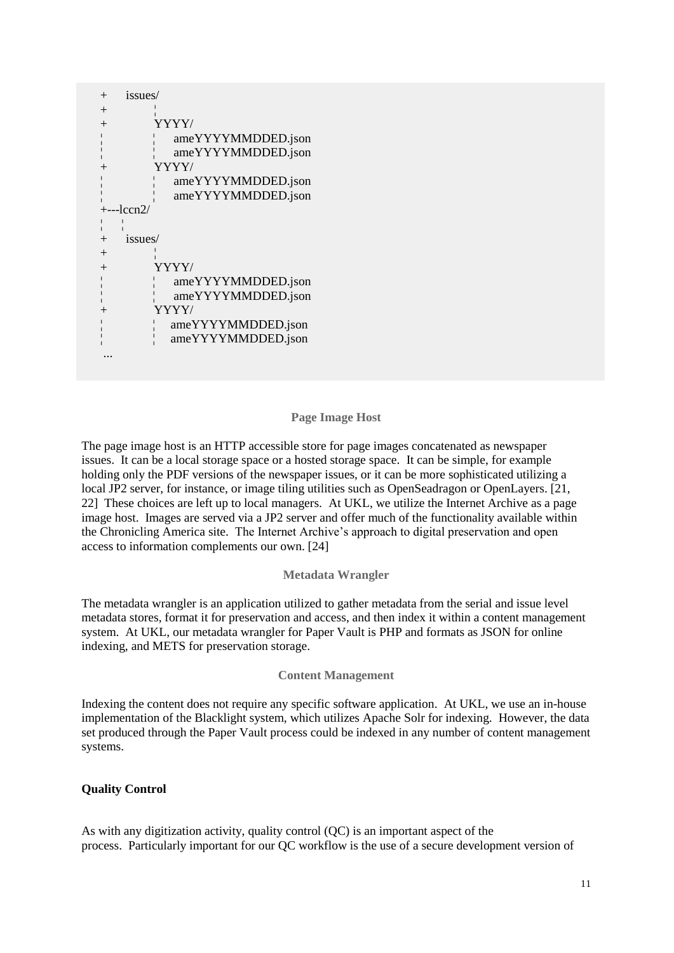| $^{+}$     | issues/            |  |  |
|------------|--------------------|--|--|
| $^{+}$     |                    |  |  |
| $^{+}$     | YYYY/              |  |  |
|            | ameYYYYMMDDED.json |  |  |
|            | ameYYYYMMDDED.json |  |  |
|            | YYYY/              |  |  |
|            | ameYYYYMMDDED.json |  |  |
|            | ameYYYYMMDDED.json |  |  |
| +---1ccn2/ |                    |  |  |
|            |                    |  |  |
| $^{+}$     |                    |  |  |
|            | issues/            |  |  |
| $^{+}$     |                    |  |  |
| $^{+}$     | YYYY/              |  |  |
|            | ameYYYYMMDDED.json |  |  |
|            | ameYYYYMMDDED.json |  |  |
|            | YYYY/              |  |  |
|            | ameYYYYMMDDED.json |  |  |
|            | ameYYYYMMDDED.json |  |  |
|            |                    |  |  |

### **Page Image Host**

The page image host is an HTTP accessible store for page images concatenated as newspaper issues. It can be a local storage space or a hosted storage space. It can be simple, for example holding only the PDF versions of the newspaper issues, or it can be more sophisticated utilizing a local JP2 server, for instance, or image tiling utilities such as OpenSeadragon or OpenLayers. [21, 22] These choices are left up to local managers. At UKL, we utilize the Internet Archive as a page image host. Images are served via a JP2 server and offer much of the functionality available within the Chronicling America site. The Internet Archive's approach to digital preservation and open access to information complements our own. [24]

### **Metadata Wrangler**

The metadata wrangler is an application utilized to gather metadata from the serial and issue level metadata stores, format it for preservation and access, and then index it within a content management system. At UKL, our metadata wrangler for Paper Vault is PHP and formats as JSON for online indexing, and METS for preservation storage.

### **Content Management**

Indexing the content does not require any specific software application. At UKL, we use an in-house implementation of the Blacklight system, which utilizes Apache Solr for indexing. However, the data set produced through the Paper Vault process could be indexed in any number of content management systems.

## **Quality Control**

As with any digitization activity, quality control (QC) is an important aspect of the process. Particularly important for our QC workflow is the use of a secure development version of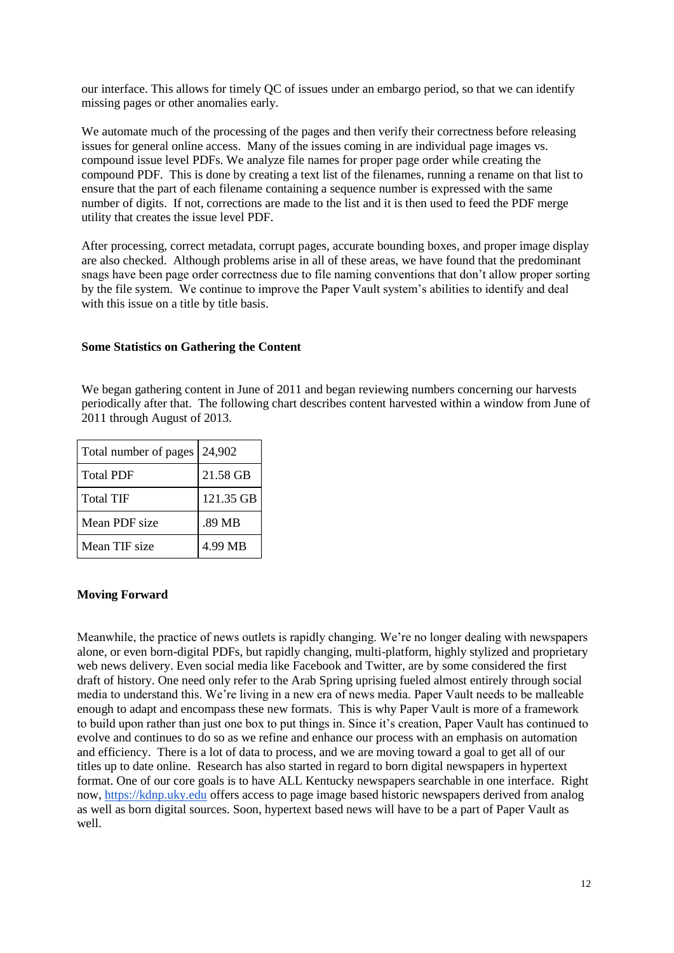our interface. This allows for timely QC of issues under an embargo period, so that we can identify missing pages or other anomalies early.

We automate much of the processing of the pages and then verify their correctness before releasing issues for general online access. Many of the issues coming in are individual page images vs. compound issue level PDFs. We analyze file names for proper page order while creating the compound PDF. This is done by creating a text list of the filenames, running a rename on that list to ensure that the part of each filename containing a sequence number is expressed with the same number of digits. If not, corrections are made to the list and it is then used to feed the PDF merge utility that creates the issue level PDF.

After processing, correct metadata, corrupt pages, accurate bounding boxes, and proper image display are also checked. Although problems arise in all of these areas, we have found that the predominant snags have been page order correctness due to file naming conventions that don't allow proper sorting by the file system. We continue to improve the Paper Vault system's abilities to identify and deal with this issue on a title by title basis.

## **Some Statistics on Gathering the Content**

We began gathering content in June of 2011 and began reviewing numbers concerning our harvests periodically after that. The following chart describes content harvested within a window from June of 2011 through August of 2013.

| Total number of pages 24,902 |           |
|------------------------------|-----------|
| <b>Total PDF</b>             | 21.58 GB  |
| <b>Total TIF</b>             | 121.35 GB |
| Mean PDF size                | .89 MB    |
| Mean TIF size                | 4.99 MB   |

## **Moving Forward**

Meanwhile, the practice of news outlets is rapidly changing. We're no longer dealing with newspapers alone, or even born-digital PDFs, but rapidly changing, multi-platform, highly stylized and proprietary web news delivery. Even social media like Facebook and Twitter, are by some considered the first draft of history. One need only refer to the Arab Spring uprising fueled almost entirely through social media to understand this. We're living in a new era of news media. Paper Vault needs to be malleable enough to adapt and encompass these new formats. This is why Paper Vault is more of a framework to build upon rather than just one box to put things in. Since it's creation, Paper Vault has continued to evolve and continues to do so as we refine and enhance our process with an emphasis on automation and efficiency. There is a lot of data to process, and we are moving toward a goal to get all of our titles up to date online. Research has also started in regard to born digital newspapers in hypertext format. One of our core goals is to have ALL Kentucky newspapers searchable in one interface. Right now, [https://kdnp.uky.edu](https://kdnp.uky.edu/) offers access to page image based historic newspapers derived from analog as well as born digital sources. Soon, hypertext based news will have to be a part of Paper Vault as well.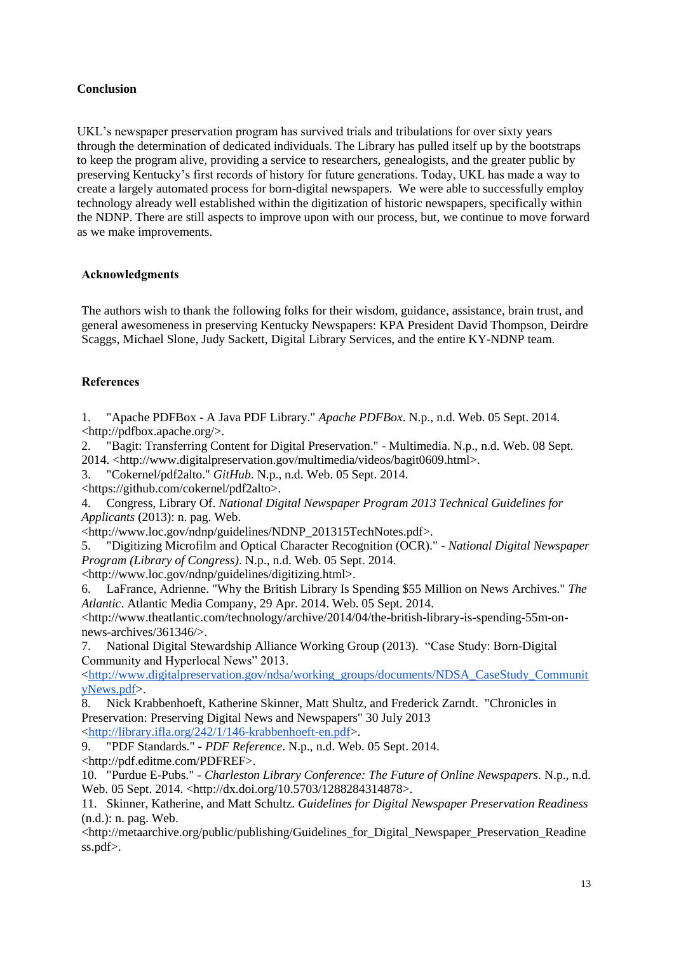# **Conclusion**

UKL's newspaper preservation program has survived trials and tribulations for over sixty years through the determination of dedicated individuals. The Library has pulled itself up by the bootstraps to keep the program alive, providing a service to researchers, genealogists, and the greater public by preserving Kentucky's first records of history for future generations. Today, UKL has made a way to create a largely automated process for born-digital newspapers. We were able to successfully employ technology already well established within the digitization of historic newspapers, specifically within the NDNP. There are still aspects to improve upon with our process, but, we continue to move forward as we make improvements.

# **Acknowledgments**

The authors wish to thank the following folks for their wisdom, guidance, assistance, brain trust, and general awesomeness in preserving Kentucky Newspapers: KPA President David Thompson, Deirdre Scaggs, Michael Slone, Judy Sackett, Digital Library Services, and the entire KY-NDNP team.

# **References**

1. "Apache PDFBox - A Java PDF Library." *Apache PDFBox*. N.p., n.d. Web. 05 Sept. 2014. <http://pdfbox.apache.org/>.

2. "Bagit: Transferring Content for Digital Preservation." - Multimedia. N.p., n.d. Web. 08 Sept. 2014. <http://www.digitalpreservation.gov/multimedia/videos/bagit0609.html>.

3. "Cokernel/pdf2alto." *GitHub*. N.p., n.d. Web. 05 Sept. 2014.

<https://github.com/cokernel/pdf2alto>.

4. Congress, Library Of. *National Digital Newspaper Program 2013 Technical Guidelines for Applicants* (2013): n. pag. Web.

<http://www.loc.gov/ndnp/guidelines/NDNP\_201315TechNotes.pdf>.

5. "Digitizing Microfilm and Optical Character Recognition (OCR)." *- National Digital Newspaper Program (Library of Congress)*. N.p., n.d. Web. 05 Sept. 2014.

<http://www.loc.gov/ndnp/guidelines/digitizing.html>.

6. LaFrance, Adrienne. "Why the British Library Is Spending \$55 Million on News Archives." *The Atlantic*. Atlantic Media Company, 29 Apr. 2014. Web. 05 Sept. 2014.

<http://www.theatlantic.com/technology/archive/2014/04/the-british-library-is-spending-55m-onnews-archives/361346/>.

7. National Digital Stewardship Alliance Working Group (2013). "Case Study: Born-Digital Community and Hyperlocal News" 2013.

<http://www.digitalpreservation.gov/ndsa/working\_groups/documents/NDSA\_CaseStudy\_Communit yNews.pdf>.

8. Nick Krabbenhoeft, Katherine Skinner, Matt Shultz, and Frederick Zarndt. "Chronicles in Preservation: Preserving Digital News and Newspapers" 30 July 2013

[<http://library.ifla.org/242/1/146-krabbenhoeft-en.pdf>](http://library.ifla.org/242/1/146-krabbenhoeft-en.pdf).

9. "PDF Standards." *- PDF Reference*. N.p., n.d. Web. 05 Sept. 2014. <http://pdf.editme.com/PDFREF>.

10. "Purdue E-Pubs." *- Charleston Library Conference: The Future of Online Newspapers*. N.p., n.d. Web. 05 Sept. 2014. <http://dx.doi.org/10.5703/1288284314878>.

11. Skinner, Katherine, and Matt Schultz. *Guidelines for Digital Newspaper Preservation Readiness* (n.d.): n. pag. Web.

<http://metaarchive.org/public/publishing/Guidelines\_for\_Digital\_Newspaper\_Preservation\_Readine ss.pdf>.